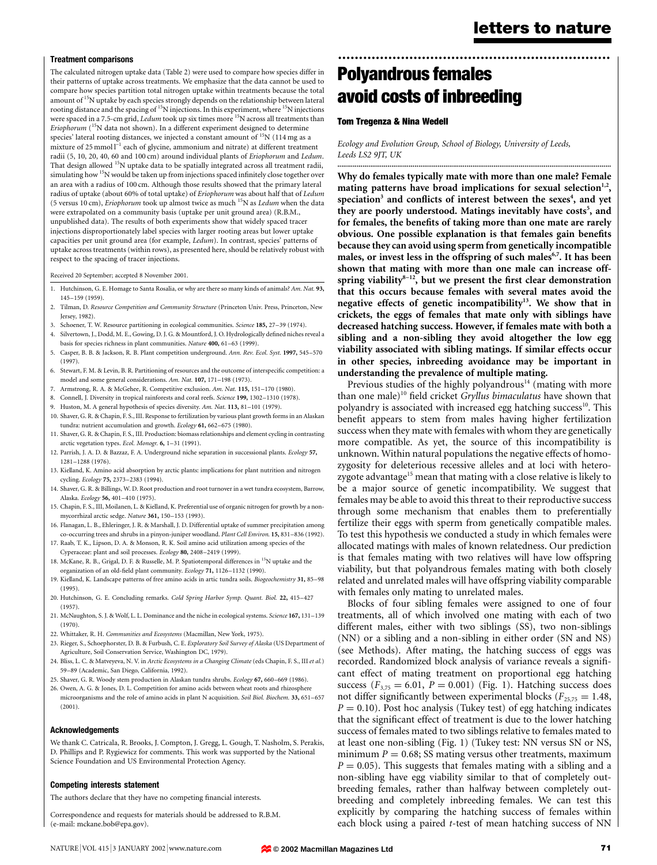#### Treatment comparisons

The calculated nitrogen uptake data (Table 2) were used to compare how species differ in their patterns of uptake across treatments. We emphasize that the data cannot be used to compare how species partition total nitrogen uptake within treatments because the total amount of <sup>15</sup>N uptake by each species strongly depends on the relationship between lateral rooting distance and the spacing of <sup>15</sup>N injections. In this experiment, where <sup>15</sup>N injections were spaced in a 7.5-cm grid,  $\emph{Ledum}$  took up six times more  $^{15}{\rm N}$  across all treatments than Eriophorum (<sup>15</sup>N data not shown). In a different experiment designed to determine species' lateral rooting distances, we injected a constant amount of <sup>15</sup>N (114 mg as a mixture of 25 mmol  $I^{-1}$  each of glycine, ammonium and nitrate) at different treatment radii (5, 10, 20, 40, 60 and 100 cm) around individual plants of Eriophorum and Ledum. That design allowed <sup>15</sup>N uptake data to be spatially integrated across all treatment radii, simulating how<sup>15</sup>N would be taken up from injections spaced infinitely close together over an area with a radius of 100 cm. Although those results showed that the primary lateral radius of uptake (about 60% of total uptake) of Eriophorum was about half that of Ledum (5 versus 10 cm), *Eriophorum* took up almost twice as much  $^{15}$ N as *Ledum* when the data were extrapolated on a community basis (uptake per unit ground area) (R.B.M., unpublished data). The results of both experiments show that widely spaced tracer injections disproportionately label species with larger rooting areas but lower uptake capacities per unit ground area (for example, Ledum). In contrast, species' patterns of uptake across treatments (within rows), as presented here, should be relatively robust with respect to the spacing of tracer injections.

Received 20 September; accepted 8 November 2001.

- 1. Hutchinson, G. E. Homage to Santa Rosalia, or why are there so many kinds of animals? Am. Nat. 93, 145±159 (1959).
- 2. Tilman, D. Resource Competition and Community Structure (Princeton Univ. Press, Princeton, New Jersey, 1982).
- 3. Schoener, T. W. Resource partitioning in ecological communities. Science 185, 27-39 (1974).
- 4. Silvertown, J., Dodd, M. E., Gowing, D. J. G. & Mountford, J. O. Hydrologically defined niches reveal a basis for species richness in plant communities. Nature 400, 61-63 (1999).
- 5. Casper, B. B. & Jackson, R. B. Plant competition underground. Ann. Rev. Ecol. Syst. 1997, 545–570 (1997).
- 6. Stewart, F. M. & Levin, B. R. Partitioning of resources and the outcome of interspecific competition: a model and some general considerations. Am. Nat. 107, 171-198 (1973).
- 7. Armstrong, R. A. & McGehee, R. Competitive exclusion. Am. Nat. 115, 151-170 (1980).
- 8. Connell, J. Diversity in tropical rainforests and coral reefs. Science 199, 1302-1310 (1978).
- 9. Huston, M. A general hypothesis of species diversity. Am. Nat. 113, 81-101 (1979).
- 10. Shaver, G. R. & Chapin, F. S., III. Response to fertilization by various plant growth forms in an Alaskan tundra: nutrient accumulation and growth. Ecology 61, 662-675 (1980).
- 11. Shaver, G. R. & Chapin, F. S., III. Production: biomass relationships and element cycling in contrasting arctic vegetation types. Ecol. Monogr. 6, 1-31 (1991).
- 12. Parrish, J. A. D. & Bazzaz, F. A. Underground niche separation in successional plants. Ecology 57, 1281±1288 (1976).
- 13. Kielland, K. Amino acid absorption by arctic plants: implications for plant nutrition and nitrogen cycling. Ecology 75, 2373-2383 (1994).
- 14. Shaver, G. R. & Billings, W. D. Root production and root turnover in a wet tundra ecosystem, Barrow, Alaska. Ecology 56, 401-410 (1975).
- 15. Chapin, F. S., III, Moilanen, L. & Kielland, K. Preferential use of organic nitrogen for growth by a nonmycorrhizal arctic sedge. Nature 361, 150-153 (1993).
- 16. Flanagan, L. B., Ehleringer, J. R. & Marshall, J. D. Differential uptake of summer precipitation among co-occurring trees and shrubs in a pinyon-juniper woodland. Plant Cell Environ. 15, 831-836 (1992).
- 17. Raab, T. K., Lipson, D. A. & Monson, R. K. Soil amino acid utilization among species of the Cyperaceae: plant and soil processes. Ecology 80, 2408-2419 (1999).
- 18. McKane, R. B., Grigal, D. F. & Russelle, M. P. Spatiotemporal differences in <sup>15</sup>N uptake and the organization of an old-field plant community. Ecology 71, 1126-1132 (1990).
- 19. Kielland, K. Landscape patterns of free amino acids in artic tundra soils. Biogeochemistry 31, 85-98 (1995).
- 20. Hutchinson, G. E. Concluding remarks. Cold Spring Harbor Symp. Quant. Biol. 22, 415-427 (1957).
- 21. McNaughton, S. J. & Wolf, L. L. Dominance and the niche in ecological systems. Science 167, 131-139 (1970).
- 22. Whittaker, R. H. Communities and Ecosystems (Macmillan, New York, 1975).
- 23. Rieger, S., Schoephorster, D. B. & Furbush, C. E. Exploratory Soil Survey of Alaska (US Department of Agriculture, Soil Conservation Service, Washington DC, 1979).
- 24. Bliss, L. C. & Matveyeva, N. V. in Arctic Ecosystems in a Changing Climate (eds Chapin, F. S., III et al.) 59±89 (Academic, San Diego, California, 1992).
- 25. Shaver, G. R. Woody stem production in Alaskan tundra shrubs. Ecology 67, 660-669 (1986).
- 26. Owen, A. G. & Jones, D. L. Competition for amino acids between wheat roots and rhizosphere microorganisms and the role of amino acids in plant N acquisition. Soil Biol. Biochem. 33, 651-657 (2001).

#### Acknowledgements

We thank C. Catricala, R. Brooks, J. Compton, J. Gregg, L. Gough, T. Nasholm, S. Perakis, D. Phillips and P. Rygiewicz for comments. This work was supported by the National Science Foundation and US Environmental Protection Agency.

#### Competing interests statement

The authors declare that they have no competing financial interests.

Correspondence and requests for materials should be addressed to R.B.M. (e-mail: mckane.bob@epa.gov).

# ................................................................. Polyandrous females avoid costs of inbreeding

# Tom Tregenza & Nina Wedell

Ecology and Evolution Group, School of Biology, University of Leeds, Leeds LS2 9JT, UK

Why do females typically mate with more than one male? Female mating patterns have broad implications for sexual selection<sup>1,2</sup>, speciation $^3$  and conflicts of interest between the sexes $^4$ , and yet they are poorly understood. Matings inevitably have costs<sup>5</sup>, and for females, the benefits of taking more than one mate are rarely obvious. One possible explanation is that females gain benefits because they can avoid using sperm from genetically incompatible males, or invest less in the offspring of such males<sup>6,7</sup>. It has been shown that mating with more than one male can increase offspring viability $8-12$ , but we present the first clear demonstration that this occurs because females with several mates avoid the negative effects of genetic incompatibility<sup>13</sup>. We show that in crickets, the eggs of females that mate only with siblings have decreased hatching success. However, if females mate with both a sibling and a non-sibling they avoid altogether the low egg viability associated with sibling matings. If similar effects occur in other species, inbreeding avoidance may be important in understanding the prevalence of multiple mating.

..............................................................................................................................................

Previous studies of the highly polyandrous $14$  (mating with more than one male)<sup>10</sup> field cricket Gryllus bimaculatus have shown that polyandry is associated with increased egg hatching success<sup>10</sup>. This benefit appears to stem from males having higher fertilization success when they mate with females with whom they are genetically more compatible. As yet, the source of this incompatibility is unknown. Within natural populations the negative effects of homozygosity for deleterious recessive alleles and at loci with heterozygote advantage<sup>15</sup> mean that mating with a close relative is likely to be a major source of genetic incompatibility. We suggest that females may be able to avoid this threat to their reproductive success through some mechanism that enables them to preferentially fertilize their eggs with sperm from genetically compatible males. To test this hypothesis we conducted a study in which females were allocated matings with males of known relatedness. Our prediction is that females mating with two relatives will have low offspring viability, but that polyandrous females mating with both closely related and unrelated males will have offspring viability comparable with females only mating to unrelated males.

Blocks of four sibling females were assigned to one of four treatments, all of which involved one mating with each of two different males, either with two siblings (SS), two non-siblings (NN) or a sibling and a non-sibling in either order (SN and NS) (see Methods). After mating, the hatching success of eggs was recorded. Randomized block analysis of variance reveals a significant effect of mating treatment on proportional egg hatching success ( $F_{3,75} = 6.01$ ,  $P = 0.001$ ) (Fig. 1). Hatching success does not differ significantly between experimental blocks ( $F_{25,75} = 1.48$ ,  $P = 0.10$ ). Post hoc analysis (Tukey test) of egg hatching indicates that the significant effect of treatment is due to the lower hatching success of females mated to two siblings relative to females mated to at least one non-sibling (Fig. 1) (Tukey test: NN versus SN or NS, minimum  $P = 0.68$ ; SS mating versus other treatments, maximum  $P = 0.05$ ). This suggests that females mating with a sibling and a non-sibling have egg viability similar to that of completely outbreeding females, rather than halfway between completely outbreeding and completely inbreeding females. We can test this explicitly by comparing the hatching success of females within each block using a paired *t*-test of mean hatching success of NN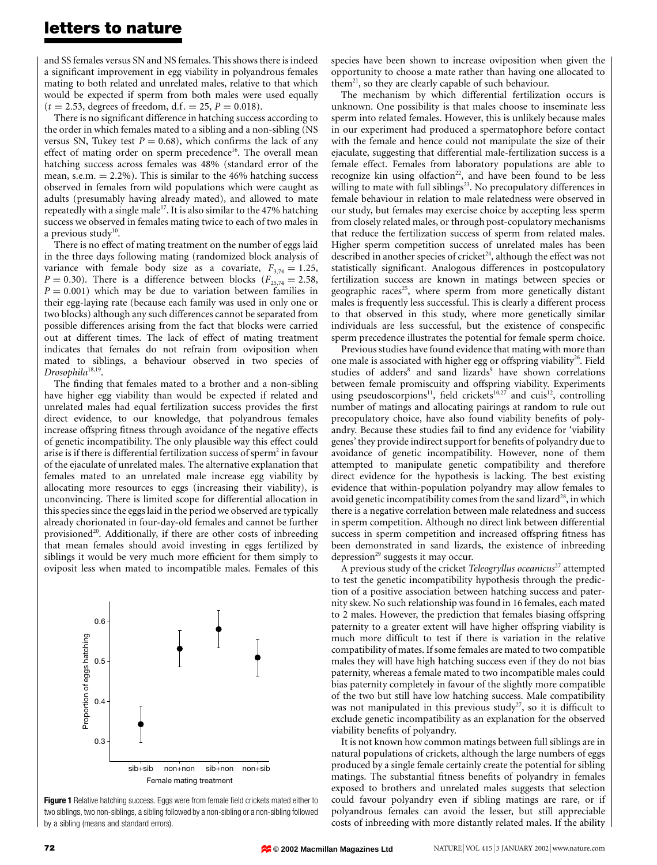# letters to nature

and SS females versus SN and NS females. This shows there is indeed a significant improvement in egg viability in polyandrous females mating to both related and unrelated males, relative to that which would be expected if sperm from both males were used equally  $(t = 2.53,$  degrees of freedom, d.f. = 25,  $P = 0.018$ ).

There is no significant difference in hatching success according to the order in which females mated to a sibling and a non-sibling (NS versus SN, Tukey test  $P = 0.68$ ), which confirms the lack of any effect of mating order on sperm precedence<sup>16</sup>. The overall mean hatching success across females was 48% (standard error of the mean, s.e.m.  $= 2.2\%$ ). This is similar to the 46% hatching success observed in females from wild populations which were caught as adults (presumably having already mated), and allowed to mate repeatedly with a single male<sup>17</sup>. It is also similar to the 47% hatching success we observed in females mating twice to each of two males in a previous study $10$ .

There is no effect of mating treatment on the number of eggs laid in the three days following mating (randomized block analysis of variance with female body size as a covariate,  $F_{3,74} = 1.25$ ,  $P = 0.30$ ). There is a difference between blocks ( $F_{25,74} = 2.58$ ,  $P = 0.001$ ) which may be due to variation between families in their egg-laying rate (because each family was used in only one or two blocks) although any such differences cannot be separated from possible differences arising from the fact that blocks were carried out at different times. The lack of effect of mating treatment indicates that females do not refrain from oviposition when mated to siblings, a behaviour observed in two species of Drosophila<sup>18,19</sup>.

The finding that females mated to a brother and a non-sibling have higher egg viability than would be expected if related and unrelated males had equal fertilization success provides the first direct evidence, to our knowledge, that polyandrous females increase offspring fitness through avoidance of the negative effects of genetic incompatibility. The only plausible way this effect could arise is if there is differential fertilization success of sperm<sup>2</sup> in favour of the ejaculate of unrelated males. The alternative explanation that females mated to an unrelated male increase egg viability by allocating more resources to eggs (increasing their viability), is unconvincing. There is limited scope for differential allocation in this species since the eggs laid in the period we observed are typically already chorionated in four-day-old females and cannot be further provisioned<sup>20</sup>. Additionally, if there are other costs of inbreeding that mean females should avoid investing in eggs fertilized by siblings it would be very much more efficient for them simply to oviposit less when mated to incompatible males. Females of this



Figure 1 Relative hatching success. Eggs were from female field crickets mated either to two siblings, two non-siblings, a sibling followed by a non-sibling or a non-sibling followed by a sibling (means and standard errors).

species have been shown to increase oviposition when given the opportunity to choose a mate rather than having one allocated to them<sup>21</sup>, so they are clearly capable of such behaviour.

The mechanism by which differential fertilization occurs is unknown. One possibility is that males choose to inseminate less sperm into related females. However, this is unlikely because males in our experiment had produced a spermatophore before contact with the female and hence could not manipulate the size of their ejaculate, suggesting that differential male-fertilization success is a female effect. Females from laboratory populations are able to recognize kin using olfaction<sup>22</sup>, and have been found to be less willing to mate with full siblings<sup>23</sup>. No precopulatory differences in female behaviour in relation to male relatedness were observed in our study, but females may exercise choice by accepting less sperm from closely related males, or through post-copulatory mechanisms that reduce the fertilization success of sperm from related males. Higher sperm competition success of unrelated males has been described in another species of cricket<sup>24</sup>, although the effect was not statistically significant. Analogous differences in postcopulatory fertilization success are known in matings between species or geographic races<sup>25</sup>, where sperm from more genetically distant males is frequently less successful. This is clearly a different process to that observed in this study, where more genetically similar individuals are less successful, but the existence of conspecific sperm precedence illustrates the potential for female sperm choice.

Previous studies have found evidence that mating with more than one male is associated with higher egg or offspring viability $26$ . Field studies of adders<sup>8</sup> and sand lizards<sup>9</sup> have shown correlations between female promiscuity and offspring viability. Experiments using pseudoscorpions<sup>11</sup>, field crickets<sup>10,27</sup> and cuis<sup>12</sup>, controlling number of matings and allocating pairings at random to rule out precopulatory choice, have also found viability benefits of polyandry. Because these studies fail to find any evidence for 'viability genes' they provide indirect support for benefits of polyandry due to avoidance of genetic incompatibility. However, none of them attempted to manipulate genetic compatibility and therefore direct evidence for the hypothesis is lacking. The best existing evidence that within-population polyandry may allow females to avoid genetic incompatibility comes from the sand lizard<sup>28</sup>, in which there is a negative correlation between male relatedness and success in sperm competition. Although no direct link between differential success in sperm competition and increased offspring fitness has been demonstrated in sand lizards, the existence of inbreeding depression<sup>29</sup> suggests it may occur.

A previous study of the cricket Teleogryllus oceanicus<sup>27</sup> attempted to test the genetic incompatibility hypothesis through the prediction of a positive association between hatching success and paternity skew. No such relationship was found in 16 females, each mated to 2 males. However, the prediction that females biasing offspring paternity to a greater extent will have higher offspring viability is much more difficult to test if there is variation in the relative compatibility of mates. If some females are mated to two compatible males they will have high hatching success even if they do not bias paternity, whereas a female mated to two incompatible males could bias paternity completely in favour of the slightly more compatible of the two but still have low hatching success. Male compatibility was not manipulated in this previous study<sup>27</sup>, so it is difficult to exclude genetic incompatibility as an explanation for the observed viability benefits of polyandry.

It is not known how common matings between full siblings are in natural populations of crickets, although the large numbers of eggs produced by a single female certainly create the potential for sibling matings. The substantial fitness benefits of polyandry in females exposed to brothers and unrelated males suggests that selection could favour polyandry even if sibling matings are rare, or if polyandrous females can avoid the lesser, but still appreciable costs of inbreeding with more distantly related males. If the ability

**© 2002 Macmillan Magazines Ltd**